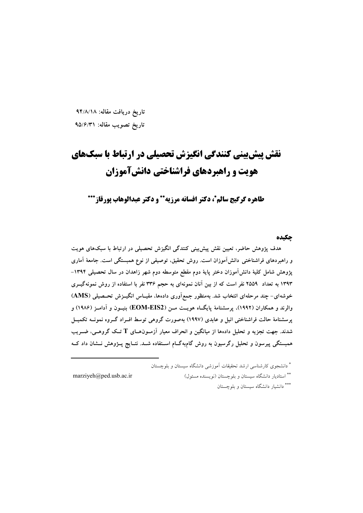تاریخ دریافت مقاله: ۹۴/۸/۱۸ تاريخ تصويب مقاله: ٩۵/۶/٣١

# نقش پیش بینی کنندگی انگیزش تحصیلی در ارتباط با سبکهای هويت و راهيردهاي فراشناختي دانش آموزان

طاهره گرگيج سالم\*، دكتر افسانه مرزيه\*\* و دكتر عبدالوهاب يورقاز\*\*\*

## حكىده

هدف پژوهش حاضر، تعیین نقش پیش بینی کنندگی انگیزش تحصیلی در ارتباط با سبکهای هویت و راهبردهای فراشناختی دانش[موزان است. روش تحقیق، توصیفی از نوع همبستگی است. جامعهٔ آماری پژوهش شامل کلیهٔ دانش[موزان دختر پایهٔ دوم مقطع متوسطه دوم شهر زاهدان در سال تحصیلی ۱۳۹۴– ۱۳۹۳ به تعداد ۲۵۵۹ نفر است که از بین آنان نمونهای به حجم ۳۳۶ نفر با استفاده از روش نمونهگیــری خوشهای- چند مرحلهای انتخاب شد. بهمنظور جمع آوری دادهها، مقیـاس انگیــزش تحــصیلی (AMS) والرند و همکاران (۱۹۹۲)، پرسشنامهٔ پایگ|ه هویــت مــن (EOM-EIS2) بنیــون و آدامــز (۱۹۸۶) و پرسشنامهٔ حالت فراشناختی انیل و عابدی (۱۹۹۷) بهصورت گروهی توسط افــراد گــروه نمونــه تکمیــل شدند. جهت تجزیه و تحلیل دادهها از میانگین و انحراف معیار آزمـونهـای T تــک گروهــی، ضــریب همبستگی پیرسون و تحلیل رگرسیون به روش گام٬هگــام اســتفاده شــد. نتــایج پــژوهش نــشان داد کــه

\* دانشجوی کارشناسی ارشد تحقیقات آموزشی دانشگاه سیستان و بلوچستان

\*\* استادیار دانشگاه سیستان و بلوچستان (نویسنده مسئول)

marziyeh@ped.usb.ac.ir

\*\*\* دانشبار دانشگاه سستان و بلوچستان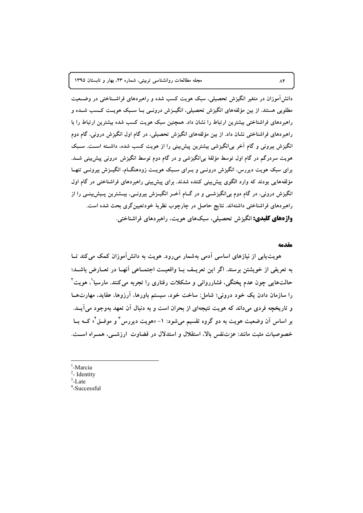محله مطالعات روانشناسی تربیتی، شماره ۲۳، بهار و تابستان ۱۳۹۵

دانش آموزان در متغیر انگیزش تحصیلی، سبک هویت کسب شده و راهبردهای فراشـناختی در وضــعیت مطلوبی هستند. از بین مؤلفههای انگیزش تحصیلی، انگیــزش درونــی بــا ســبک هویــت کــسب شــده و راهبردهای فراشناختی بیشترین ارتباط را نشان داد. همچنین سبک هویت کسب شده بیشترین ارتباط را با راهبردهای فراشناختی نشان داد. از بین مؤلفههای انگیزش تحصیلی، در گام اول انگیزش درونی، گام دوم انگیزش بیرونی و گام آخر بی|نگیزشی بیشترین پیشبینی را از هویت کسب شده، داشـته اسـت. سـبک هویت سردرگم در گام اول توسط مؤلفهٔ بی|نگیزشی و در گام دوم توسط انگیزش درونی پیش بینی شــد. برای سبک هویت دیررس، انگیزش درونسی و بــرای ســبک هویــت زودهنگــام، انگیــزش بیرونــی تنهــا مؤلفههایی بودند که وارد الگوی پیش بینی کننده شدند. برای پیش بینی راهبردهای فراشناختی در گام اول انگیزش درونی، در گام دوم بی|نگیزشــی و در گــام آخــر انگیــزش بیرونــی، بیــشترین پــیش بینــی را از راهبردهای فراشناختی داشتهاند. نتایج حاصل در چارچوب نظریهٔ خودتعیینگری بحث شده است. **واژههای کلیدی:** انگیزش تحصیلی، سبکهای هویت، راهبردهای فراشناختی.

#### مقدمه

هویت پایی از نیازهای اساسی آدمی بهشمار می رود. هویت به دانش آموزان کمک می کند تــا به تعریفی از خویشتن برسند. اگر این تعریـف بــا واقعیــت اجتمــاعی أنهــا در تعــارض باشــد؛ حالتهایی چون عدم پختگی، فشارروانی و مشکلات رفتاری را تجربه می کنند. مارسیا ٰ، هویت ْ ٰ را سازمان دادن یک خود درونی؛ شامل: ساخت خود، سیستم باورها، آرزوها، عقاید، مهارتهــا و تاریخچه فردی میداند که هویت نتیجهای از بحران است و به دنبال آن تعهد بهوجود می آیــد. بر اساس اَن وضعیت هویت به دو گروه تقسیم میشود: ۱- «هویت دیررس ٌ و موفــق ٌ» کــه بــا خصوصیات مثبت مانند: عزتنفس بالا، استقلال و استدلال در قضاوت ارزشـــی، همــراه اســت.

- <sup>1</sup>-Marcia  $2$ - Identity
- $3$ -Late
- $4$ -Successful

 $\Lambda$ ۴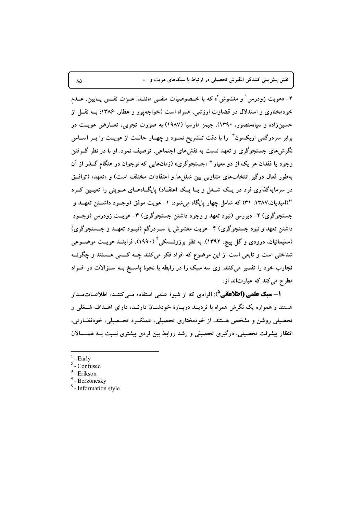نقش پیش بینی کنندگی انگیزش تحصیلی در ارتباط با سبکهای هویت و …

۲- «هو یت زودرس ْ و مغشوش ّ» که با خــصوصیات منفــی ماننــد: عــزت نفــس پــایین، عــدم خودمختاری و استدلال در قضاوت ارزشی، همراه است (خواجه یور و عطار، ۱۳۸۶؛ بــه نقـــل از حسینزاده و سپاهمنصور، ۱۳۹۰). جیمز مارسیا (۱۹۸۷) به صورت تجربی، تعــارض هویــت در برابر سردرگمی اریکسون آ را با دقت تــشریح نمــود و چهــار حالــت از هویــت را بــر اســاس نگرشهای جستجوگری و تعهد نسبت به نقشهای اجتماعی، توصیف نمود. او با در نظر گـرفتن وجود یا فقدان هر یک از دو معیار " «جستجوگری» (زمانهایی که نوجوان در هنگام گـذر از آن بهطور فعال درگیر انتخابهای متناوبی بین شغلها و اعتقادات مختلف است) و «تعهد» (توافــق در سرمایهگذاری فرد در یــک شــغل و یــا یــک اعتقــاد) پایگــاههــای هــویتی را تعیــین کــرد "(امیدیان.۱۳۸۷: ۳۱) که شامل چهار پایگاه میشود: ۱– هویت موفق (وجـود داشــتن تعهــد و جستجوگری) ۲- دیررس (نبود تعهد و وجود داشتن جستجوگری) ۳- هویــت زودرس (وجــود داشتن تعهد و نبود جستجوگری) ۴- هویت مغشوش یا سـردرگم (نبــود تعهــد و جــستجوگری) (سلیمانیان، درودی و گل پیچ، ۱۳۹۲). به نظر برزونــسکی ٔ (۱۹۹۰)، فراینــد هویــت موضــوعی شناختی است و تابعی است از این موضوع که افراد فکر میکنند چــه کــسی هــستند و چگونــه تجارب خود را تفسیر می کنند. وی سه سبک را در رابطه با نحوهٔ پاسـخ بــه ســؤالات در افــراد مطرح میکند که عبارتاند از:

**۱– سبک علمی (اطلاعاتی**<sup>۵</sup>): افرادی که از شیوهٔ علمی استفاده مـی کننـد، اطلاعــات،سـدار هستند و همواره یک نگرش همراه با تردیــد دربــارهٔ خودشــان دارنــد، دارای اهــداف شــغلی و تحصیلی روشن و مشخص هستند، از خودمختاری تحصیلی، عملک رد تحـصیلی، خودنظــارتی، انتظار پیشرفت تحصیلی، درگیری تحصیلی و رشد روابط بین فردی بیشتری نسبت بـه همــسالان

 $\lambda\Delta$ 

 $1$  - Early

 $2$  - Confused

 $3$  - Erikson

 $4$  - Berzonesky

<sup>&</sup>lt;sup>5</sup> - Information style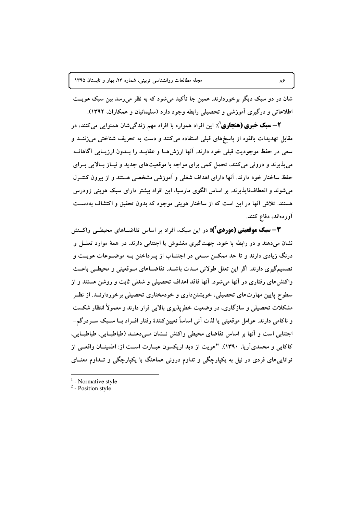شان در دو سبک دیگر برخوردارند. همین جا تأکید می شود که به نظر می رسد بین سبک هویــت اطلاعاتی و درگیری آموزشی و تحصیلی رابطه وجود دارد (سلیمانیان و همکاران، ۱۳۹۲).

**۲**—**سبک خبری (هنجاری**<sup>۱</sup>): این افراد همواره با افراد مهم زندگیشان همنوایی میکنند، در مقابل تهدیدات بالقوه از پاسخهای قبلی استفاده میکنند و دست به تحریف شناختی میزننــد و سعی در حفظ موجودیت قبلی خود دارند. آنها ارزشهـا و عقایــد را بــدون ارزیــابی آگاهانــه می پذیرند و درونی می کنند، تحمل کمی برای مواجه با موقعیتهای جدید و نیــاز بــالایی بــرای حفظ ساختار خود دارند. آنها دارای اهداف شغلی و آموزشی مشخصی هستند و از بیرون کنتـرل می شوند و انعطاف ناپذیرند. بر اساس الگوی مارسیا، این افراد بیشتر دارای سبک هویتی زودرس هستند. تلاش آنها در این است که از ساختار هویتی موجود که بدون تحقیق و اکتشاف بهدست آوردهاند، دفاع کنند.

**۳ – سبک موقعیتی (موردی آ):** در این سبک، افراد بر اساس تقاضــاهای محیطــی واکــنش نشان می،دهند و در رابطه با خود، جهتگیری مغشوش یا اجتنابی دارند. در همهٔ موارد تعلــل و درنگ زیادی دارند و تا حد ممکــن ســعی در اجتنــاب از پــرداختن بــه موضــوعات هویــت و تصمیمگیری دارند. اگر این تعلل طولانی مـدت باشـد، تقاضـاهای مـوقعیتی و محیطـی باعـث واکنشهای رفتاری در آنها می شود. آنها فاقد اهداف تحصیلی و شغلی ثابت و روشن هستند و از سطوح پایین مهارتهای تحصیلی، خویشتنداری و خودمختاری تحصیلی برخوردارنــد. از نظــر مشکلات تحصیلی و سازگاری، در وضعیت خطرپذیری بالایی قرار دارند و معمولاً انتظار شکست و ناکامی دارند. عوامل موقعیتی یا لذت آنی اساساً تعیین کنندهٔ رفتار افــراد بــا ســبک ســردرگم-اجتنابی است و آنها بر اساس تقاضای محیطی واکنش نــشان مــی۵هنــد (طباطبــایی، طباطبــایی، كاكايي و محمديآريا، ١٣٩٠). "هويت از ديد اريكسون عبيارت است از: اطمينيان واقعبي از تواناییهای فردی در نیل به یکپارچگی و تداوم درونی هماهنگ با یکپارچگی و تـداوم معنــای

- Normative style

 $\lambda$ ۶

 $2$  - Position style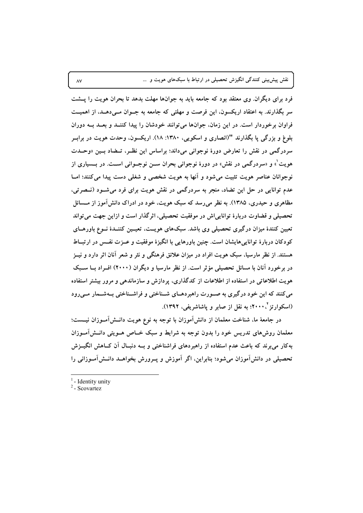نقش پیش بینی کنندگی انگیزش تحصیلی در ارتباط با سبکهای هویت و …

فرد برای دیگران. وی معتقد بود که جامعه باید به جوانها مهلت بدهد تا بحران هویت را پـــشت سر بگذارند. به اعتقاد اریکسون، این فرصت و مهلتی که جامعه به جــوان مــی دهــد، از اهمیــت فراوان برخوردار است. در این زمان، جوانها می توانند خودشان را پیدا کننــد و بعــد بــه دوران بلوغ و بزرگی یا بگذارند "(انصاری و اسکویی، ۱۳۸۰: ۱۸). اریکسون، وحدت هویت در براب سردرگمی در نقش را تعارض دورهٔ نوجوانی میداند؛ براساس این نظـر، تــضاد بــین «وحــدت هويت ْ» و «سردرگمي در نقش» در دورهٔ نوجواني بحران ســز نوجــواني اســت. در بــسياري از نوجوانان عناصر هويت تثبيت مي شود و آنها به هويت شخصي و شغلي دست پيدا مي كنند؛ امــا عدم توانایی در حل این تضاد، منجر به سردرگمی در نقش هویت برای فرد می شـود (نـصرتی، مظاهری و حیدری، ۱۳۸۵). به نظر میرسد که سبک هویت، خود در ادراک دانش آموز از مــسائل تحصیلی و قضاوت دربارهٔ تواناییاش در موفقیت تحصیلی، اثرگذار است و ازاین جهت می تواند تعیین کنندهٔ میزان درگیری تحصیلی وی باشد. سبکهای هویــت، تعیــین کننــدهٔ نــوع باورهــای کودکان دربارهٔ تواناییهایشان است. چنین باورهایی با انگیزهٔ موفقیت و عــزت نفــس در ارتبــاط هستند. از نظر مارسیا، سبک هویت افراد در میزان علائق فرهنگی و نثر و شعر آنان اثر دارد و نیــز در برخورد آنان با مسائل تحصیلی مؤثر است. از نظر مارسیا و دیگران (۲۰۰۰) افـراد بــا ســبک هویت اطلاعاتی در استفاده از اطلاعات از کدگذاری، پردازش و سازماندهی و مرور بیشتر استفاده می کنند که این خود درگیری به صورت راهبردهـای شـناختی و فراشـناختی بـهشـمار مـیرود (اسکوارتز `، ۲۰۰۰؛ به نقل از صابر و یاشاشریفی، ۱۳۹۲).

در جامعهٔ ما، شناخت معلمان از دانش آموزان با توجه به نوع هویت دانــش[مــوزان نیـــست؛ معلمان روشهای تدریس خود را بدون توجه به شرایط و سبک خـاص هـویتی دانــش آمـوزان به کار می برند که باعث عدم استفاده از راهبردهای فراشناختی و بــه دنبــال آن کــاهش انگیــزش تحصیلی در دانشآموزان میشود؛ بنابراین، اگر آموزش و پــرورش بخواهــد دانــشآمــوزانی را

 $1$  - Identity unity

 $2$  - Scovartez

 $\Lambda\mathrm{V}$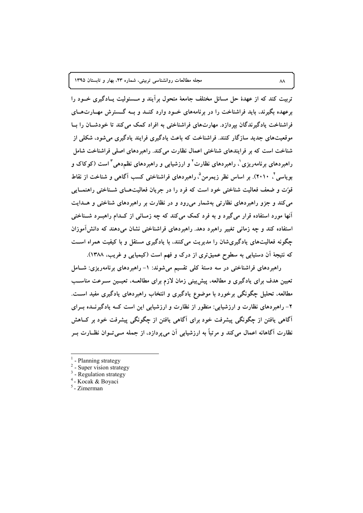مجله مطالعات روانشناسی تربیتی، شماره ۲۳، بهار و تابستان ۱۳۹۵

تربیت کند که از عهدهٔ حل مسائل مختلف جامعهٔ متحول برآیند و مــسئولیت پــادگیری خــود را برعهده بگیرند، باید فراشناخت را در برنامههای خـود وارد کنـد و بــه گــسترش مهــارتهــای فراشناخت یادگیرندگان بیردازد. مهارتهای فراشناختی به افراد کمک می کند تا خودشـان را بـا موقعیتهای جدید سازگار کنند. فراشناخت که باعث یادگیری فرایند یادگیری می شود، شکلی از شناخت است که بر فرایندهای شناختی اعمال نظارت می کند. راهبردهای اصلی فراشناخت شامل راهبردهای برنامهریزی'، راهبردهای نظارت' و ارزشیابی و راهبردهای نظمدهی ٔ است (کوکاک و بویاسی ٔ ۲۰۱۰). بر اساس نظر زیمرمن ٔ، راهبردهای فراشناختی کسب آگاهی و شناخت از نقاط قوِّت و ضعف فعالیت شناختی خود است که فرد را در جریان فعالیتهـای شــناختی راهنمــایی می کند و جزو راهبردهای نظارتی بهشمار میرود و در نظارت بر راهبردهای شناختی و هـدایت آنها مورد استفاده قرار میگیرد و به فرد کمک میکند که چه زمـانی از کـدام راهبــرد شــناختی استفاده کند و چه زمانی تغییر راهبرد دهد. راهبردهای فراشناختی نشان میدهند که دانش آموزان چگونه فعالیتهای یادگیریشان را مدیریت میکنند، با یادگیری مستقل و با کیفیت همراه است که نتیجهٔ اَن دستیابی به سطوح عمیقتری از درک و فهم است (کیمیایی و غریب، ۱۳۸۸).

راهبردهای فراشناختی در سه دستهٔ کلی تقسیم میشوند: ۱- راهبردهای برنامهریزی: شـامل تعیین هدف برای یادگیری و مطالعه، پیش بینی زمان لازم برای مطالعــه، تعیــین ســرعت مناســب مطالعه، تحلیل چگونگی برخورد با موضوع یادگیری و انتخاب راهبردهای یادگیری مفید اسـت. ۲– راهبر دهای نظارت و ارزشیابی: منظور از نظارت و ارزشیابی این است کــه یادگیرنـــده بــرای آگاهی یافتن از چگونگی پیشرفت خود برای آگاهی یافتن از چگونگی پیشرفت خود بر کــاهش نظارت آگاهانه اعمال می کند و مرتباً به ارزشیابی آن می بردازد، از جمله مــی تــوان نظــارت بــر

 $\lambda\lambda$ 

<sup>-</sup> Planning strategy

 $2$  - Super vision strategy

 $3$  - Regulation strategy

<sup>&</sup>lt;sup>4</sup> - Kocak & Boyaci

 $5 - Zimerman$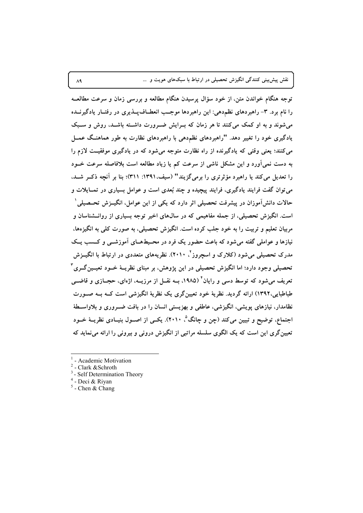نقش پیشبینی کنندگی انگیزش تحصیلی در ارتباط با سبکهای هویت و …

توجه هنگام خواندن متن، از خود سؤال پرسیدن هنگام مطالعه و بررسی زمان و سرعت مطالعــه را نام برد. ۳- راهبردهای نظم دهی: این راهبردها موجب انعطـافپــذیری در رفتــار یادگیرنــده میشوند و به او کمک میکنند تا هر زمان که بـرایش ضـرورت داشـته باشـد، روش و سـبک یادگیری خود را تغییر دهد. "راهبردهای نظم دهی با راهبردهای نظارت به طور هماهنـگ عمــل می کنند؛ یعنی وقتی که یادگیرنده از راه نظارت متوجه می شود که در یادگیری موفقیت لازم را به دست نمی آورد و این مشکل ناشی از سرعت کم یا زیاد مطالعه است بلافاصله سرعت خــود را تعدیل می کند یا راهبرد مؤثرتری را برمی گزیند" (سیف، ۱۳۹۱: ۳۱۱)؛ بنا بر آنچه ذک رشد، می توان گفت فرایند یادگیری، فرایند پیچیده و چند بُعدی است و عوامل بسیاری در تمــایلات و حالات دانشآموزان در پیشرفت تحصیلی اثر دارد که یکی از این عوامل، انگیــزش تحــصیلی ْ است. انگیزش تحصیلی، از جمله مفاهیمی که در سال@ای اخیر توجه بسیاری از روانــشناسان و مربیان تعلیم و تربیت را به خود جلب کرده است. انگیزش تحصیلی، به صورت کلی به انگیزهها، نیازها و عواملی گفته می شود که باعث حضور یک فرد در محـیطهـای آموزشــی و کــسب یــک مدرک تحصیلی میشود (کلارک و اسچروز<sup>۲</sup>، ۲۰۱۰). نظریههای متعددی در ارتباط با انگیــزش تحصیلی وجود دارد؛ اما انگیزش تحصیلی در این پژوهش، بر مبنای نظریــهٔ خــود تعیــین گــری ٔ تعریف میشود که توسط دسی و رایان<sup>۴</sup> (۱۹۸۵، بــه نقــل از مرزیـــه، اژهای، حجــازی و قاضـــی طباطبایی،۱۳۹۲) ارائه گردید. نظریهٔ خود تعیینگری یک نظریهٔ انگیزشی است کــه بــه صــورت نظامدار، نیازهای یویشی، انگیزشی، عاطفی و بهزیستی انسان را در بافت ضـروری و بلاواسـطهٔ اجتماع، توضیح و تبیین میکند (چن و چانگ°، ۲۰۱۰). یکسی از اصــول بنیــادی نظریــهٔ خــود تعیین گری این است که یک الگوی سلسله مراتبی از انگیزش درونی و بیرونی را ارائه می نماید که

 $\Lambda$ ٩

<sup>-</sup> Academic Motivation

 $2$  - Clark & Schroth

 $3$  - Self Determination Theory

<sup>&</sup>lt;sup>4</sup> - Deci & Riyan

 $5$  - Chen & Chang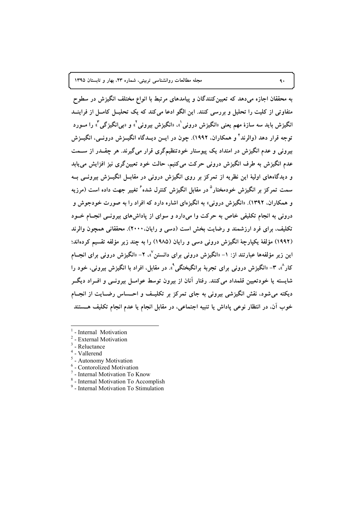به محققان اجازه می دهد که تعیین کنندگان و پیامدهای مرتبط با انواع مختلف انگیزش در سطوح متفاوتی از کلیت را تحلیل و بررسی کنند. این الگو ادعا می کند که یک تحلیــل کامــل از فراینــد انگیزش باید سه سازهٔ مهم یعنی «انگیزش درونی'»، «انگیزش بیرونی'» و «بی!نگیزگی"» را مــورد توجه قرار دهد (والرند ٌ و همکاران، ۱۹۹۲). چون در ایــن دیــدگاه انگیــزش درونـــی، انگیــزش بیرونی و عدم انگیزش در امتداد یک پیوستار خودتنظیمگری قرار می گیرند. هر چقــدر از ســمت عدم انگیزش به طرف انگیزش درونی حرکت می کنیم، حالت خود تعیین گری نیز افزایش می پابد و دیدگاههای اولیهٔ این نظریه از تمرکز بر روی انگیزش درونی در مقابــل انگیــزش بیرونــی بــه سمت تمرکز بر انگیزش خودمختار<sup>ه</sup> در مقابل انگیزش کنترل شده<sup>۶</sup> تغییر جهت داده است (مرزبه و همکاران، ۱۳۹۲). «انگیزش درونی» به انگیزهای اشاره دارد که افراد را به صورت خودجوش و درونی به انجام تکلیفی خاص به حرکت وا میدارد و سوای از پاداشهای بیرونــی انجــام خــود تکلیف، برای فرد ارزشمند و رضایت بخش است (دسی و رایان،۲۰۰۰). محققانی همچون والرند (١٩٩٢) مؤلفهٔ یکپارچهٔ انگیزش درونی دسی و رایان (١٩٨٥) را به چند زیر مؤلفه تقسیم کردهاند؛ این زیر مؤلفهها عبارتند از: ۱– «انگیزش درونی برای دانستن<sup>۷</sup>»، ۲– «انگیزش درونی برای انجــام کار ْ»، ۳- «انگیزش درونبی برای تجربهٔ برانگیختگی ْ». در مقابل، افراد با انگیزش بیرونبی، خود را شایسته یا خودتعیین قلمداد میکنند. رفتار آنان از بیرون توسط عوامــل بیرونــی و افــراد دیگــر دیکته می شود، نقش انگیزشی بیرونی به جای تمرکز بر تکلیـف و احـساس رضـایت از انجـام خوب آن، در انتظار نوعی پاداش یا تنبیه اجتماعی، در مقابل انجام یا عدم انجام تکلیف هــــــتند

- $<sup>1</sup>$  Internal Motivation</sup>
- External Motivation
- Reluctance
- $4$  Vallerend
- <sup>5</sup> Autonomy Motivation
- <sup>6</sup> Contorolized Motivation
- <sup>7</sup> Internal Motivation To Know
- <sup>8</sup> Internal Motivation To Accomplish
- <sup>9</sup> Internal Motivation To Stimulation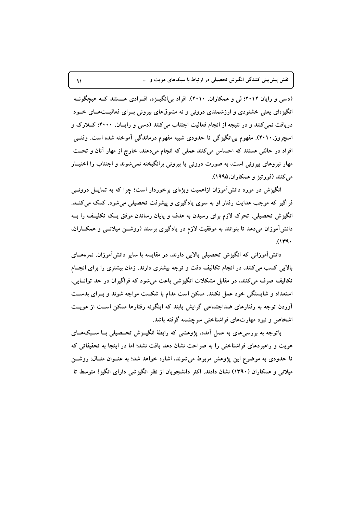نقش پیش بینی کنندگی انگیزش تحصیلی در ارتباط با سبکهای هویت و …

(دسی و رایان ۲۰۱۲؛ لی و همکاران، ۲۰۱۰). افراد بی انگیــزه، افــرادی هــستند کــه هیچگونــه انگیزهای یعنی خشنودی و ارزشمندی درونی و نه مشوقهای بیرونی بــرای فعالیــتهــای خــود دریافت نمی کنند و در نتیجه از انجام فعالیت اجتناب می کنند (دسی و رایـان، ۲۰۰۰؛ کــلارک و اسچروز.۲۰۱۰). مفهوم بی[نگیزگی تا حدودی شبیه مفهوم درماندگی آموخته شده است. وقتــی افراد در حالتی هستند که احساس میکنند عملی که انجام میدهند، خارج از مهار آنان و تحت مهار نیروهای بیرونی است، به صورت درونی یا بیرونی برانگیخته نمیشوند و اجتناب را اختیــار مي کنند (فورتيز و همکاران،١٩٩٥).

انگیزش در مورد دانش آموزان ازاهمیت ویژهای برخوردار است؛ چرا که به تمایــل درونــی فراگیر که موجب هدایت رفتار او به سوی یادگیری و پیشرفت تحصیلی میشود، کمک میکنــد. انگیزش تحصیلی، تحرک لازم برای رسیدن به هدف و پایان رساندن موفق یـک تکلیـف را بــه دانشآموزان میدهد تا بتوانند به موفقیت لازم در یادگیری برسند (روشــن میلانــی و همکــاران.  $(149)$ 

دانشآموزانی که انگیزش تحصیلی بالایی دارند، در مقایسه با سایر دانشآموزان، نمرههــای بالایی کسب میکنند، در انجام تکالیف دقت و توجه بیشتری دارند، زمان بیشتری را برای انجــام تکالیف صرف می کنند، در مقابل مشکلات انگیزشی باعث می شود که فراگیران در حد توانسایی، استعداد و شایستگی خود عمل نکنند، ممکن است مدام با شکست مواجه شوند و بـرای بدسـت آوردن توجه به رفتارهای ضداجتماعی گرایش پابند که اینگونه رفتارها ممکن اسـت از هویــت اشخاص و نبود مهارتهای فراشناختی سرچشمه گرفته باشد.

باتوجه به بررسی های به عمل آمده، پژوهشی که رابطهٔ انگییزش تحتصیلی بسا سبکهبای هویت و راهبردهای فراشناختی را به صراحت نشان دهد یافت نشد؛ اما در اینجا به تحقیقاتی که تا حدودی به موضوع این پژوهش مربوط می شوند، اشاره خواهد شد؛ به عنــوان مثــال: روشـــ; میلانی و همکاران (۱۳۹۰) نشان دادند، اکثر دانشجویان از نظر انگیزشی دارای انگیزهٔ متوسط تا

 $\lambda$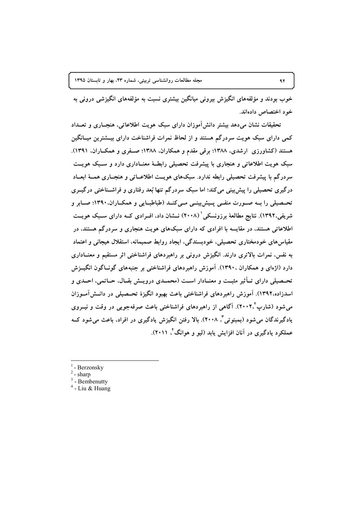خوب بودند و مؤلفههای انگیزش بیرونی میانگین بیشتری نسبت به مؤلفههای انگیزشی درونی به خو د اختصاص دادهاند.

تحقیقات نشان می،دهد بیشتر دانش آموزان دارای سبک هویت اطلاعاتی، هنجـاری و تعــداد کمی دارای سبک هویت سردرگم هستند و از لحاظ نمرات فراشناخت دارای بیــشترین میــانگین هستند (کشاورزی ارشدی، ۱۳۸۸؛ برقی مقدم و همکاران، ۱۳۸۸؛ صـفری و همکــاران، ۱۳۹۱). سبک هویت اطلاعاتی و هنجاری با پیشرفت تحصیلی رابطـهٔ معنــاداری دارد و سـبک هویــت سردرگم با پیشرفت تحصیلی رابطه ندارد. سبکهای هویـت اطلاعــاتی و هنجــاری همــهٔ ابعــاد درگیری تحصیلی را پیش بینی می کند؛ اما سبک سردرگم تنها بُعد رفتاری و فراشــناختی درگیــری تحــصیلی را بــه صــورت منفــی پــیش بینــی مــیکنــد (طباطبــایی و همکــاران،۱۳۹۰؛ صــابر و شریفی،۱۳۹۲). نتایج مطالعهٔ برزونسکی ٔ (۲۰۰۸) نــشان داد، افــرادی کــه دارای ســبک هویــت اطلاعاتی هستند، در مقایسه با افرادی که دارای سبکهای هویت هنجاری و سردرگم هستند، در مقیاس های خودمختاری تحصیلی، خودبسندگی، ایجاد روابط صمیمانه، استقلال هیجانی و اعتماد به نفس، نمرات بالاتری دارند. انگیزش درونی بر راهبردهای فراشناختی اثر مستقیم و معنــاداری دارد (اژهای و همکاران ۱۳۹۰). آموزش راهبردهای فراشناختی بر جنبههای گونــاگون انگیــزش تحـصيلي داراي تـأثير مثبـت و معنــادار اســت (محمــدي درويــش بقــال، حــاتمي، احــدي و اسدزاده،۱۳۹۲). آموزش راهبردهای فراشناختی باعث بهبود انگیزهٔ تحــصیلی در دانــشآمــوزان می شود (شارب ۲۰۰۲). آگاهی از راهبردهای فراشناختی باعث صرفهجویی در وقت و نیــروی یادگیرندگان می شود (بمبنوتی ؓ، ۲۰۰۸). بالا رفتن انگیزش یادگیری در افراد، باعث می شود کــه عملکرد یادگیری در آنان افزایش یابد (لیو و هوانگ ٔ ۲۰۱۱).

- <sup>1</sup> Berzonsky
- $2$  sharp
- $3$  Bembenutty
- $4$  Liu & Huang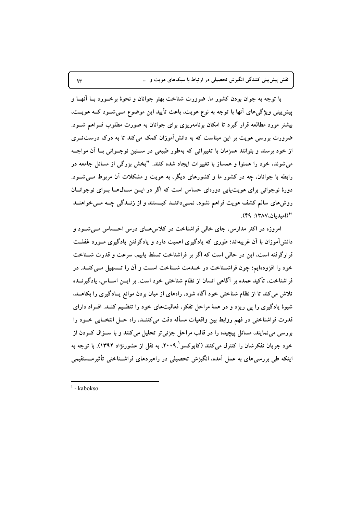نقش پیشبینی کنندگی انگیزش تحصیلی در ارتباط با سبکهای هویت و …

با توجه به جوان بودن کشور ما، ضرورت شناخت بهتر جوانان و نحوهٔ برخــورد بــا آنهــا و پیش بینی ویژگیهای آنها با توجه به نوع هویت، باعث تأیید این موضوع مــیشــود کــه هویــت، بیشتر مورد مطالعه قرار گیرد تا امکان برنامهریزی برای جوانان به صورت مطلوب فــراهم شــود. ضرورت بررسی هویت بر این مبناست که به دانش آموزان کمک می کند تا به درک درست تــری از خود برسند و بتوانند همزمان با تغییراتی که بهطور طبیعی در ســنین نوجــوانی بــا آن مواجــه می شوند، خود را همنوا و همساز با تغییرات ایجاد شده کنند. "بخش بزرگی از مسائل جامعه در رابطه با جوانان، چه در کشور ما و کشورهای دیگر، به هویت و مشکلات آن مربوط مــی شــود. دورهٔ نوجوانی برای هویت پابی دورهای حساس است که اگر در ایــز سـالهــا بــرای نوجوانــان روشهای سالم کشف هویت فراهم نشود، نمــیداننــد کیــستند و از زنــدگی چــه مــی خواهنــد "(اميديان،١٣٨٧: ۴٩).

امروزه در اکثر مدارس، جای خالی فراشناخت در کلاس هـای درس احـساس مـیشـود و دانشآموزان با آن غریبهاند؛ طوری که یادگیری اهمیت دارد و یادگرفتن یادگیری مــورد غفلــت قرارگرفته است، این در حالی است که اگر بر فراشناخت تسلط پابیم، سرعت و قدرت شـناخت خود را افزودهایم؛ چون فراشـناخت در خـدمت شـناخت اسـت و آن را تـسهیل مـی کنـد. در فراشناخت، تأکید عمده بر آگاهی انسان از نظام شناختی خود است. بر ایــن اســاس، یادگیرنــده تلاش می کند تا از نظام شناختی خود آگاه شود، راههای از میان بردن موانع پـادگیری را بکاهــد. شیوهٔ یادگیری را پی ریزد و در همهٔ مراحل تفکر، فعالیتهای خود را تنظـیم کنـد. افـراد دارای قدرت فراشناختی در فهم روابط بین واقعیات مسأله دقت میکننــد، راه حــل انتخــابی خــود را بررسی مینمایند، مسائل پیچیده را در قالب مراحل جزئیتر تحلیل می کنند و با ســؤال کــردن از خود جريان تفكرشان را كنترل مي كنند (كابوكسو '،٢٠٠٩، به نقل از عشورنژاد ١٣٩٢). با توجه به اینکه طی بررسی های به عمل آمده، انگیزش تحصیلی در راهبردهای فراشـناختی تأثیرمــستقیمی

 $\Upsilon$ 

 $1 - kabokso$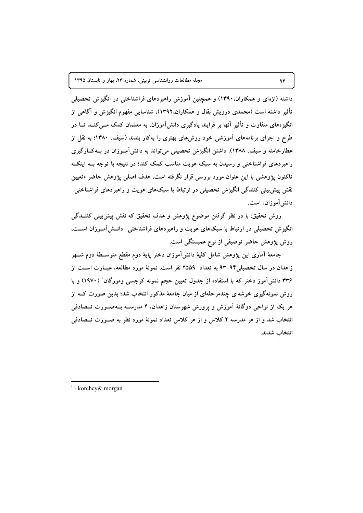داشته (اژهای و همکاران.۱۳۹۰) و همچنین آموزش راهبردهای فراشناختی در انگیزش تحصیلی تأثیر داشته است (محمدی درویش بقال و همکاران.۱۳۹۲)، شناسایی مفهوم انگیزش و آگاهی از انگیزههای متفاوت و تأثیر آنها بر فرایند یادگیری دانش[موزان، به معلمان کمک مــی کنــد تــا در طرح و اجرای برنامههای آموزشی خود روشهای بهتری را بهکار بندند (سیف، ۱۳۸۰؛ به نقل از عطارخامنه و سيف، ١٣٨٨). داشتن انگيزش تحصيلي مي تواند به دانش آمـوزان در بــه كــارگيري راهبردهای فراشناختی و رسیدن به سبک هویت مناسب کمک کند؛ در نتیجه با توجه بــه اینکــه تاکنون پژوهشی با این عنوان مورد بررسی قرار نگرفته است، هدف اصلی پژوهش حاضر «تعیین نقش پیش بینی کنندگی انگیزش تحصیلی در ارتباط با سبکهای هویت و راهبردهای فراشناختی دانش آموزان» است.

روش تحقیق: با در نظر گرفتن موضوع پژوهش و هدف تحقیق که نقش پیش بینی کننــدگی انگیزش تحصیلی در ارتباط با سبکهای هویت و راهبردهای فراشناختی دانـشآمـوزان اسـت، روش پژوهش حاضر توصیفی از نوع همبستگی است.

جامعهٔ آماری این پژوهش شامل کلیهٔ دانشآموزان دختر پایهٔ دوم مقطع متوسـطهٔ دوم شــهر زاهدان در سال تحصیلی۹۴–۹۳ به تعداد ۲۵۵۹ نفر است. نمونهٔ مورد مطالعه، عبــارت اســت از ۳۳۶ دانش آموز دختر که با استفاده از جدول تعیین حجم نمونه کرجسی ومورگان ( ۱۹۷۰) و با روش نمونهگیری خوشهای چندمرحلهای از میان جامعهٔ مذکور انتخاب شد؛ بدین صورت کــه از هر یک از نواحی دوگانهٔ آموزش و پرورش شهرستان زاهدان، ۴ مدرســه بــهصــورت تــصادفی انتخاب شد و از هر مدرسه ۲ کلاس و از هر کلاس تعداد نمونهٔ مورد نظر به صـورت تــصادفی انتخاب شدند.

 $1$  - korchcy & morgan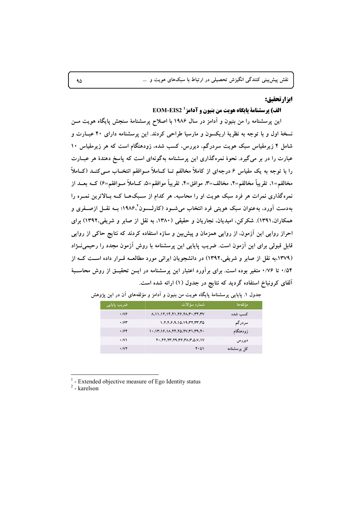#### ابزارتحقيق:

### الف) يرسشنامة يابگاه هويت من بنيون و آدامز 1 EOM-EIS2

این پرسشنامه را من بنیون و آدامز در سال ۱۹۸۶ با اصلاح پرسشنامهٔ سنجش پایگاه هویت مــن نسخهٔ اول و با توجه به نظریهٔ اریکسون و مارسیا طراحی کردند. این پرسشنامه دارای ۴۰ عبارت و شامل ۴ زیرمقیاس سبک هویت سردرگم، دیررس، کسب شده، زودهنگام است که هر زیرمقیاس ۱۰ عبارت را در بر میگیرد. نحوهٔ نمرهگذاری این پرسشنامه بهگونهای است که پاسخ دهندهٔ هر عبــارت را با توجه به یک مقیاس ۶ درجهای از کاملاً مخالفم تــا کــاملاً مــوافقم انتخــاب مــی کنــد (کــاملاً مخالفم=١. تقريباً مخالفم=٢. مخالف=٣. موافق=۴. تقريباً موافقم=۵. كــاملاً مــوافقم=۶) كــه بعــد از نمره گذاری نمرات هر فرد سبک هویت او را محاسبه، هر کدام از سـبکهــا کــه بــالاترین نمــره را بهدست آورد، به عنوان سبک هویتی فرد انتخاب میشــود (کارلـــسون'،۱۹۸۶؛ بــه نقــل ازصــفری و همکاران.۱۳۹۱). شکرکن، امیدیان، نجاریان و حقیقی (۱۳۸۰، به نقل از صابر و شریفی،۱۳۹۲) برای احراز روایی این آزمون، از روایی همزمان و پیش بین و سازه استفاده کردند که نتایج حاکی از روایی قابل قبولی برای این آزمون است. ضریب پایایی این پرسشنامه با روش آزمون مجدد را رحیمی نــژاد (۱۳۷۹).به نقل از صابر و شریفی،۱۳۹۲) در دانشجویان ایرانی مورد مطالعــه قــرار داده اســت کــه از ۰/۵۴ تا ۰/۷۶ متغیر بوده است. برای برآورد اعتبار این پرسشنامه در ایــن تحقیــق از روش محاســبهٔ آلفای کرونباخ استفاده گردید که نتایج در جدول (۱) ارائه شده است.

| ضریب پایای <sub>ی</sub> ' | شماره سؤالات                                                          | مؤ لفه ها   |
|---------------------------|-----------------------------------------------------------------------|-------------|
| $\cdot$ / $\vee$          | ለ ለ ነ ለ ነ ለ ነ የ . ነ ነ . ነ ዖ . ነ ለ . ነ . ነ . ነ ነ . ነ .                 | كسب شده     |
| .78                       | 1.7.7.9.10.19.77.77.70                                                | سردرگم      |
| .794                      |                                                                       | زودهنگام    |
| $\cdot$ /V)               | $Y^{\bullet}$ , $YY$ , $YY$ , $YY$ , $YY$ , $YY$ , $YY$ , $YY$ , $YY$ | ديررس       |
| $\cdot$ / $\vee$ $\vee$   | ۱ تا ۴۰                                                               | کل یرسشنامه |

جدول ۱. پایایی پرسشنامهٔ پایگاه هویت من بنیون و آدامز و مؤلفههای آن در این پژوهش

- Extended objective measure of Ego Identity status

 $2$  - karelson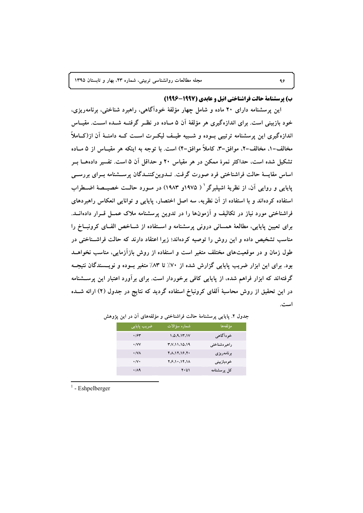#### ب) يرسشنامة حالت فراشناختي انيل و عايدي (1997-1996)

اين پرسشنامه داراي ۲۰ ماده و شامل چهار مؤلفهٔ خودآگاهي، راهبرد شناختي، برنامهريزي، خود بازبینی است. برای اندازهگیری هر مؤلفهٔ آن ۵ مــاده در نظــر گرفتــه شــده اســت. مقیــاس اندازهگیری این پرسشنامه ترتیبی بــوده و شـــبیه طیــف لیکــرت اســت کــه دامنــهٔ آن از(کـــاملاً مخالف=۱، مخالف=۲، موافق=۳، کاملاً موافق=۴) است. با توجه به اینکه هر مقیــاس از ۵ مــاده تشکیل شده است، حداکثر نمرهٔ ممکن در هر مقیاس ۲۰ و حداقل آن ۵ است. تفسیر دادههــا بــر اساس مقایسهٔ حالت فراشناختی فرد صورت گرفت. تــدوین کننــدگان پرســشنامه بــرای بررســی ياپايي و روايي آن، از نظريۀ اشيلبرگر ` ( ١٩٧٥و ١٩٨٣) در مـورد حالــت خصيــصۀ اضــطراب استفاده کردهاند و با استفاده از آن نظریه، سه اصل اختصار، پایایی و توانایی انعکاس راهبردهای فراشناختی مورد نیاز در تکالیف و آزمونها را در تدوین پرسشنامه ملاک عمــل قــرار دادهانــد. برای تعیین پایایی، مطالعهٔ همسانی درونی پرسشنامه و استفاده از شـاخص الفـای کرونبــاخ را مناسب تشخیص داده و این روش را توصیه کردهاند؛ زیرا اعتقاد دارند که حالت فراشـناختی در طول زمان و در موقعیتهای مختلف متغیر است و استفاده از روش بازآزمایی، مناسب نخواهــد بود. برای این ابزار ضریب پایایی گزارش شده از ۷۰٪ تا ۸۳٪ متغیر بـوده و نویـسندگان نتیجـه گرفتهاند که ابزار فراهم شده، از پایایی کافی برخوردار است. برای برآورد اعتبار این پرســـشنامه در این تحقیق از روش محاسبهٔ آلفای کرونباخ استفاده گردید که نتایج در جدول (۲) ارائه شــده است.

| ضريب پايايى             | شماره سؤالات         | مؤ لفه ها     |
|-------------------------|----------------------|---------------|
| .794                    | 1.0.9.17.1V          | خو دآگاهي     |
| $\cdot$ /VV             | <b>۳.V. 11.10.19</b> | راهبر دشناختی |
| $\cdot$ /VA             | 40.12.16.70          | برنامەريزى    |
| $\cdot/\mathsf{V}\cdot$ | Y.S.11.15.1A         | خودبازبيني    |
| $\cdot$ /19             | $Y \cdot 51$         | کل پرسشنامه   |

#### جدول ۲. پایایی پرسشنامهٔ حالت فراشناختی و مؤلفههای آن در این پژوهش

 $1$  - Eshpelberger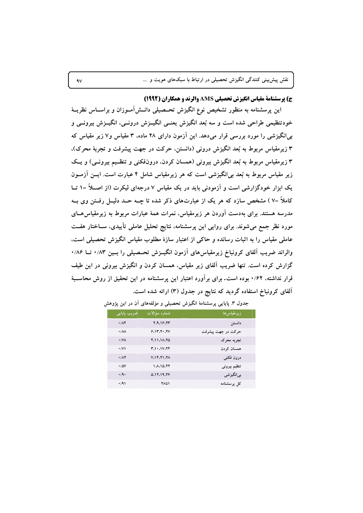ج) پرسشنامة مقياس انگيزش تحصيلي AMS والرند و همكاران (1992)

این پرسشنامه به منظور تشخیص نوع انگیزش تحـصیلی دانــشآمــوزان و براســاس نظریــهٔ خودتنظیمی طراحی شده است و سه بُعد انگیزش یعنــی انگیــزش درونــی، انگیــزش بیرونــی و بی انگیزشی را مورد بررسی قرار میدهد. این آزمون دارای ۲۸ ماده، ۳ مقیاس و۷ زیر مقیاس که ۳ زیرمقیاس مربوط به بُعد انگیزش درونی (دانستن، حرکت در جهت پیشرفت و تجربهٔ محرک)، ۳ زیرمقیاس مربوط به بُعد انگیزش بیرونی (همسان کردن، درونفکنی و تنظـیم بیرونــی) و یــک زیر مقیاس مربوط به بُعد بی|نگیزشی است که هر زیرمقیاس شامل ۴ عبارت است. ایــن آزمــون یک ابزار خودگزارشی است و آزمودنی باید در یک مقیاس ۷ درجهای لیکرت (از اصـلاً =۱ تــا کاملاً =۷) مشخص سازد که هر یک از عبارتهای ذکر شده تا چــه حــد دلیــل رفــتن وی بــه مدرسه هستند. برای بهدست آوردن هر زیرمقیاس، نمرات همهٔ عبارات مربوط به زیرمقیاس هــای مورد نظر جمع میشوند. برای روایی این پرسشنامه، نتایج تحلیل عاملی تأییدی، ســاختار هفــت عاملی مقیاس را به اثبات رسانده و حاکی از اعتبار سازهٔ مطلوب مقیاس انگیزش تحصیلی است. والراند ضریب آلفای کرونباخ زیرمقیاسهای آزمون انگیــزش تحــصیلی را بــین ۰/۸۳ تــا ۰/۸۶ گزارش کرده است. تنها ضریب آلفای زیر مقیاس، همسان کردن و انگیزش بیرونی در این طیف قرار نداشته، ۰/۶۲ بوده است. برای برآورد اعتبار این پرسشنامه در این تحقیق از روش محاســبهٔ آلفای کرونباخ استفاده گردید که نتایج در جدول (۳) ارائه شده است.

| ضریب یایایی                | شماره سؤالات            | ز پر مقیاس ها      |
|----------------------------|-------------------------|--------------------|
| .78                        | 7.9.18.77               | دانستن             |
| $\cdot$ / $\Lambda\Lambda$ | 9.11.11.1V              | حرکت در جهت پیشرفت |
| $\cdot$ / $\sqrt{\Lambda}$ | $Y_1$ $A_2$ $A_3$ $A_4$ | تجربه محرک         |
| $\cdot$ /V                 | $T_1 \cdot 11.77$       | همسان کر دن        |
| .71                        | <b>V.14.71.74</b>       | درون فكنى          |
| $\cdot$ / $\Delta V$       | 1.10.77                 | تنظيم بيرونى       |
| $\cdot$ /9 $\cdot$         | 0.17.19.78              | بے انگیز شی        |
| .41                        | ۲۸ تا ۲۸                | کل یر سشنامه       |

جدول ۳. پایایی پرسشنامهٔ انگیزش تحصیلی و مؤلفههای آن در این پژوهش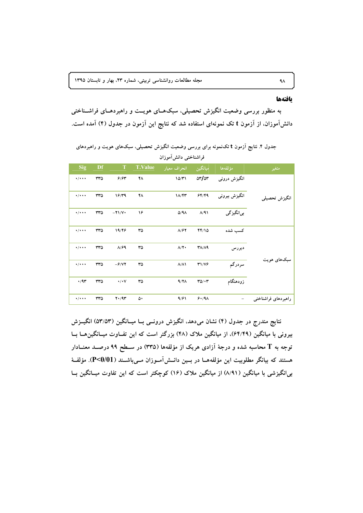#### بافتهها

به منظور بررسی وضعیت انگیزش تحصیلی، سبکهـای هویــت و راهبردهـای فراشــناختی دانشآموزان، از آزمون t تک نمونهای استفاده شد که نتایج این آزمون در جدول (۴) آمده است.

# جدول ۴. نتایج آزمون t تکنمونه برای بررسی وضعیت انگیزش تحصیلی، سبکهای هویت و راهبردهای فراشناختی دانش آموزان

| متغير               | مؤلفهها       | ميانگين       | انحراف معيار       | <b>T.Value</b> | $\mathbf T$     | Df  | <b>Sig</b>                |
|---------------------|---------------|---------------|--------------------|----------------|-----------------|-----|---------------------------|
|                     | انگیزش درونبی | or/or         | 10/T1              | ۴۸             | 9/85            | ٣٣٥ | $\cdot/\cdot\cdot\cdot$   |
| انگيزش تحصيلي       | انگیزش بیرونی | 54/49         | 18/47              | ۴٨             | 19/79           | ٣٣٥ | $\cdot$ / $\cdot$ $\cdot$ |
|                     | بي انگيز گي   | $\Lambda$ /۹۱ | $\Delta$ /۹۸       | ۱۶             | $-Y1/Y$         | ٣٣٥ | $\cdot/\cdot\cdot\cdot$   |
|                     | كسب شده       | 44/10         | $\Lambda$ /۶۲      | ٣۵             | 19/46           | ٣٣٥ | $\cdot/\cdot\cdot\cdot$   |
| سبکهای هویت         | ديررس         | $T/\Lambda$   | $\Lambda/\Upsilon$ | ٣۵             | A/F9            | ٣٣٥ | $\cdot/\cdot\cdot\cdot$   |
|                     | سردرگم        | T1/VF         | $\Lambda/\Lambda$  | ٣۵             | $-\hat{r}/V$    | ۳۳۵ | $\cdot/\cdot\cdot\cdot$   |
|                     | زودهنگام      | $TQ/\cdot T$  | $4/7\Lambda$       | ٣۵             | $\cdot/\cdot$ Y | ٣٣٥ | $\cdot$ /9٣               |
| راهبردهای فراشناختی |               | 9.19A         | 9/81               | ۵۰             | $Y \cdot / 9Y$  | ۳۳۵ | $\cdot/\cdot\cdot\cdot$   |
|                     |               |               |                    |                |                 |     |                           |

نتایج مندرج در جدول (۴) نشان میدهد، انگیزش درونسی بــا میــانگین (۵۳/۵۳) انگیــزش بیرونی با میانگین (۶۴/۴۹)، از میانگین ملاک (۴۸) بزرگتر است که این تفـاوت میــانگین۵ــا بــا توجه به T محاسبه شده و درجهٔ آزادی هریک از مؤلفهها (۳۳۵) در ســطح ۹۹ درصــد معنــادار هستند که بیانگر مطلوبیت این مؤلفههـا در بـین دانــش آمــوزان مــیباشــند (P<0/01). مؤلفــهٔ بی|نگیزشی با میانگین (۸/۹۱) از میانگین ملاک (۱۶) کوچکتر است که این تفاوت میــانگین بــا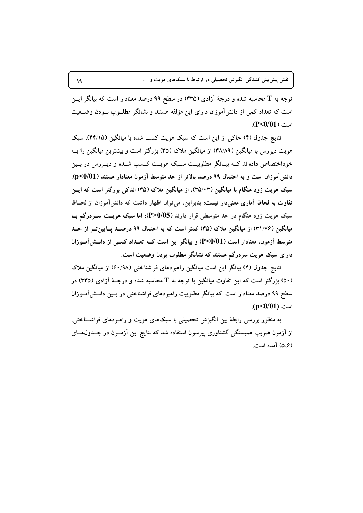توجه به T محاسبه شده و درجهٔ آزادی (۳۳۵) در سطح ۹۹ درصد معنادار است که بیانگر ایــن است که تعداد کمی از دانش آموزان دارای این مؤلفه هستند و نشانگر مطلــوب بــودن وضــعیت  $(P<0/01)$  است

نتایج جدول (۴) حاکی از این است که سبک هویت کسب شده با میانگین (۴۴/۱۵)، سبک هویت دیررس با میانگین (۳۸/۸۹) از میانگین ملاک (۳۵) بزرگتر است و بیشترین میانگین را بــه خوداختصاص دادهاند کــه بیــانگر مطلوبیــت ســبک هویــت کــسب شــده و دیــررس در بــین دانش آموزان است و به احتمال ۹۹ درصد بالاتر از حد متوسط آزمون معنادار هستند (p<0/01). سبک هویت زود هنگام با میانگین (۳۵/۰۳). از میانگین ملاک (۳۵) اندکی بزرگتر است که ایــن تفاوت به لحاظ آماری معنیدار نیست؛ بنابراین، می توان اظهار داشت که دانش آموزان از لحـاظ سبک هویت زود هنگام در حد متوسطی قرار دارند (P>0/05)؛ اما سبک هویست سـردرگم بــا میانگین (۳۱/۷۶) از میانگین ملاک (۳۵) کمتر است که به احتمال ۹۹ درصـد پـایینتـر از حـد متوسط آزمون، معنادار است (P<0/01) و بیانگر این است کــه تعــداد کمــی از دانــش[مــوزان دارای سبک هویت سردرگم هستند که نشانگر مطلوب بودن وضعیت است.

نتایج جدول (۴) بیانگر این است میانگین راهبردهای فراشناختی (۶۰/۹۸) از میانگین ملاک (۵۰) بزرگتر است که این تفاوت میانگین با توجه به T محاسبه شده و درجـهٔ آزادی (۳۳۵) در سطح ۹۹ درصد معنادار است که بیانگر مطلوبیت راهبردهای فراشناختی در بسین دانـش[مــوزان  $(p<0/01)$  است

به منظور بررسی رابطهٔ بین انگیزش تحصیلی با سبکهای هویت و راهبردهای فراشـناختی. از آزمون ضریب همبستگی گشتاوری پیرسون استفاده شد که نتایج این آزمــون در جــدول۱هــای (۵،۶) آمده است.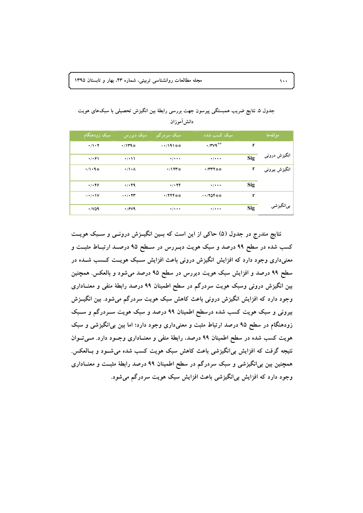| سبک زودهنگام                  | ا سیک دیررس                        | سبک سردرگم          | سبک کسب شده               |            | مؤ لفهها       |
|-------------------------------|------------------------------------|---------------------|---------------------------|------------|----------------|
| $\cdot/\cdot$ $\cdot$ $\cdot$ | $\cdot$ /1۳۹*                      | $-1/191$ **         | $\cdot$ /۳ $\vee$ ۹**     | r          |                |
| $\cdot$ / $\cdot$ ۶۱          | $\cdot$ / $\cdot$                  | $\frac{1}{2}$       | $\frac{1}{2}$             | <b>Sig</b> | انگیزش درونی   |
| $\cdot/1\cdot$ q#             | $\cdot/\cdot \wedge$               | $\cdot$ /17۳*       | <b>・/۳۳۲**</b>            | r          | انگیزش بیرونبی |
| 4/189                         | 4/199                              | 4/178               | $\cdot$ / $\cdot$ $\cdot$ | Sig        |                |
|                               |                                    |                     |                           |            |                |
| $-\cdot/(\cdot)$              | $ \cdot$ $/$ $\cdot$ $\tau$ $\tau$ | $\cdot$ / Y Y Y * * | $-170$ $**$               | r          |                |
| $\cdot$ /vaq                  | $\cdot$ / $9$ V۹                   | $\frac{1}{2}$       | $\cdot$ / $\cdot$ $\cdot$ | Sig        | بىانگيزشى      |

جدول ۵. نتایج ضریب همبستگی پیرسون جهت بررسی رابطهٔ بین انگیزش تحصیلی با سبکهای هویت دانش آموزان

نتایج مندرج در جدول (۵) حاکی از این است که بـین انگیــزش درونــی و ســبک هویــت کسب شده در سطح ۹۹ درصد و سبک هویت دیـررس در سـطح ۹۵ درصـد ارتبـاط مثبـت و معنیداری وجود دارد که افزایش انگیزش درونی باعث افزایش سـبک هویــت کــسب شــده در سطح ۹۹ درصد و افزایش سبک هویت دیررس در سطح ۹۵ درصد می شود و بالعکس. همچنین بین انگیزش درونی وسبک هویت سردرگم در سطح اطمینان ۹۹ درصد رابطهٔ منفی و معنــاداری وجود دارد که افزایش انگیزش درونی باعث کاهش سبک هویت سردرگم می شود. بین انگیــزش بیرونی و سبک هویت کسب شده درسطح اطمینان ۹۹ درصد و سبک هویت سـردرگم و ســبک زودهنگام در سطح ۹۵ درصد ارتباط مثبت و معنیداری وجود دارد؛ اما بین بی|نگیزشی و سبک هویت کسب شده در سطح اطمینان ۹۹ درصد، رابطهٔ منفی و معنــاداری وجــود دارد. مــیتــوان نتیجه گرفت که افزایش بی|نگیزشی باعث کاهش سبک هویت کسب شده می شـود و بـالعکس. همچنین بین بی|نگیزشی و سبک سردرگم در سطح اطمینان ۹۹ درصد رابطهٔ مثبـت و معنــاداری وجود دارد که افزایش بی انگیزشی باعث افزایش سبک هویت سردرگم می شود.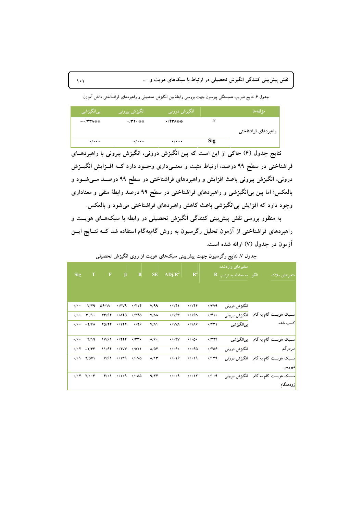.<br>جدول ۶ نتایج ضریب همبستگی پیرسون جهت بررسی رابطهٔ بین انگیزش تحصیلی و راهبردهای فراشناختی دانش آموزن

| بىانگيزشى                 | <mark>آ انگ</mark> یزش بیرونی <mark>ا</mark> | انگیزش درونی              |     | مؤ لفەھا            |
|---------------------------|----------------------------------------------|---------------------------|-----|---------------------|
| $ \cdot$ /۳۳۸ * *         | •/۳۲・※※                                      | •/۴۳۸**                   |     |                     |
|                           |                                              |                           |     | راهبردهای فراشناختی |
| $\cdot$ / $\cdot$ $\cdot$ | $\cdot$ / $\cdot$ $\cdot$                    | $\cdot$ / $\cdot$ $\cdot$ | Sig |                     |

نتایج جدول (۶) حاکی از این است که بین انگیزش درونی، انگیزش بیرونی با راهبردهــای فراشناختی در سطح ۹۹ درصد، ارتباط مثبت و معنــیداری وجــود دارد کــه افــزایش انگیــزش درونی، انگیزش بیرونی باعث افزایش و راهبردهای فراشناختی در سطح ۹۹ درصـد مــیشــود و بالعکس؛ اما بین بی|نگیزشی و راهبردهای فراشناختی در سطح ۹۹ درصد رابطهٔ منفی و معناداری وجود دارد که افزایش بی|نگیزشی باعث کاهش راهبردهای فراشناختی میشود و بالعکس.

به منظور بررسی نقش پیش بینی کنندگی انگیزش تحصیلی در رابطه با سبکهـای هویــت و راهبردهای فراشناختی از آزمون تحلیل رگرسیون به روش گام؛هگام استفاده شد کــه نتــایج ایــن آزمون در جدول (۷) ارائه شده است.

جدول ۷. نتایج رگرسیون جهت پیش بینی سبکهای هویت از روی انگیزش تحصیلی

|                     |                                                      |              |              |                             |                            |                      |                               |              | متغیرهای واردشده                     |                           |
|---------------------|------------------------------------------------------|--------------|--------------|-----------------------------|----------------------------|----------------------|-------------------------------|--------------|--------------------------------------|---------------------------|
| Sig                 | $\mathbf T$                                          | $\mathbf F$  | $\beta$      | $\, {\bf B}$                | $\rm SE$                   | $ADj.R^2$            | $\mathbb{R}^2$                |              | $\mathbf{R}$ الگو به معادله به ترتیب | متغیر های ملاک            |
|                     |                                                      |              |              |                             |                            |                      |                               |              |                                      |                           |
|                     |                                                      |              |              |                             |                            |                      |                               |              |                                      |                           |
| $\cdot/\cdot$ .     | V/F9                                                 | <b>08/1V</b> | $\cdot$ /۳۷۹ | 4/719                       | V/99                       | ۱۲۱۰.                | ۰/۱۴۴                         | $\cdot$ /۳۷۹ | انگیزش درونبی                        |                           |
| $\cdot/\cdot$ .     | $\mathbf{r}$ /1.                                     | 39/77        | $\cdot$ /140 | 4780                        | $V/\Lambda\Lambda$         | ۱۱۶۳.                | ۰/۱۶۸                         | $\cdot$ /۴۱۰ |                                      |                           |
| $\cdot$ / $\cdot$ + | $-\mathbf{Y}/\mathbf{Y}\boldsymbol{\wedge}$          | 70/74        | 4/177        | $\cdot$ /28                 | $V/\Lambda$                | $\cdot$ /1VA         | $\cdot / \sqrt{2}$            | $\cdot$ /۴۳۱ | بىانگيزشى                            | كسب شده                   |
|                     |                                                      |              |              |                             |                            |                      |                               |              |                                      |                           |
| $\cdot/\cdot$ .     | Y/19                                                 | 1V/F1        | 4/777        | $\cdot$ /۳۳ $\cdot$         | $\Lambda/\hat{r}$          | $\cdot/\cdot$ ۴۷     | $\cdot/\cdot$ $\circ$ $\cdot$ | .7779        | بىانگيزشى                            | ســبک هویـــت گام به گام  |
|                     | $\cdot$ / $\cdot$ $\cdot$ $ \cdot$ / $\cdot$ $\cdot$ | 11/۶۴        | $\cdot$ /۲۷۳ | .7011                       | $\lambda/\Delta\mathbf{Y}$ | $\cdot/\cdot$ ۶۰     | 4.60                          | 4/709        | انگیزش درونبی                        | سردرگم                    |
|                     | $\cdot$ / $\cdot$ 1 $\cdot$ / $\circ$ V1             | 9/91         | ۰/۱۳۹        | $\cdot$ / $\cdot$ V $\circ$ | $\Lambda/\Gamma$           | $\cdot$ / $\cdot$ 16 | 4/19                          | $\cdot$ /1۳۹ | انگیزش درونبی                        | ســبک هویـــت گام به گام  |
|                     |                                                      |              |              |                             |                            |                      |                               |              |                                      | ديررس                     |
|                     |                                                      | $f(\cdot)$   | $\cdot$ /1.9 | $\cdot$ / $\cdot$ 00        | 9/77                       | $\cdot/\cdot\cdot$ ٩ | $\cdot/\cdot$ \ Y             | $\cdot/1.9$  | انگیزش بیرونبی                       | ســـبک هویـــت گام به گام |
|                     |                                                      |              |              |                             |                            |                      |                               |              |                                      | زودهنگام                  |

 $\lambda$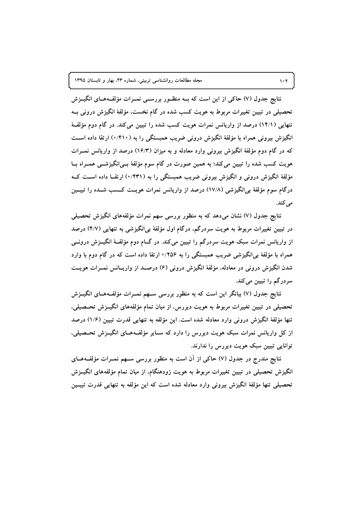نتایج جدول (۷) حاکی از این است که بــه منظــور بررســی نمــرات مؤلفــههــای انگیــزش تحصیلی در تبیین تغییرات مربوط به هویت کسب شده در گام نخست، مؤلفهٔ انگیزش درونی بــه تنهایی (۱۴/۱) درصد از واریانس نمرات هویت کسب شده را تبیین میکند. در گام دوم مؤلفـهٔ انگیزش بیرونی همراه با مؤلفهٔ انگیزش درونی ضریب همبستگی را به (۰/۴۱۰) ارتقا داده اســت که در گام دوم مؤلفهٔ انگیزش بیرونی وارد معادله و به میزان (۱۶/۳) درصد از واریانس نمــرات هویت کسب شده را تبیین میکند؛ به همین صورت در گام سوم مؤلفهٔ بــیانگیزشـــی همــراه بــا مؤلفهٔ انگیزش درونی و انگیزش بیرونی ضریب همبستگی را به (۰/۴۳۱) ارتقــا داده اســت کــه درگام سوم مؤلفهٔ بیlنگیزشی (۱۷/۸) درصد از واریانس نمرات هویــت کــسب شــده را تبیــین **.(+,)**

**)./ 0123 8\$-@c `3!D PJ7 )7 !- W+ -- -, (\$) <\ (7) I%(F a 9** در تبیین تغییرات مربوط به هویت سردرگم، درگام اول مؤلفهٔ بی[نگیزشی به تنهایی (۴/۷) درصد از واریانس نمرات سبک هویت سردرگم را تبیین میکند. در گــام دوم مؤلفــهٔ انگیــزش درونـــی همراه با مؤلفهٔ بی[نگیزشی ضریب همبستگی را به ۱٬۲۵۶ ارتقا داده است که در گام دوم با وارد شدن انگیزش درونی در معادله، مؤلفهٔ انگیزش درونی (۶) درصــد از واریــانس نمــرات هویــت سردرگم را تبیین میکند.

**01S23 8S\$-S@c `3!SD PJS7 )7 !- W+ -- -, 73 3 !2- (7) I%(F a 9** تحصیلی در تبیین تغییرات مربوط به هویت دیررس، از میان تمام مؤلفههای انگیــزش تحــصیلی، تنها مؤلفهٔ انگیزش درونی وارد معادله شده است. این مؤلفه به تنهایی قدرت تبیین (۱/۶) درصد از کل واریانس نمرات سبک هویت دیررس را دارد که ســایر مؤلفــههــای انگیــزش تحــصیلی، **.( 3( 3 X ! \$ 657 5 ) 3** 

نتایج مندرج در جدول (۷) حاکی از ان است به منظور بررسی ســهم نمــرات مؤلفــههــای انگیزش تحصیلی در تبیین تغییرات مربوط به هویت زودهنگام، از میان تمام مؤلفههای انگیــزش تحصیلی تنها مؤلفهٔ انگیزش بیرونی وارد معادله شده است که این مؤلفه به تنهایی قدرت تبیــین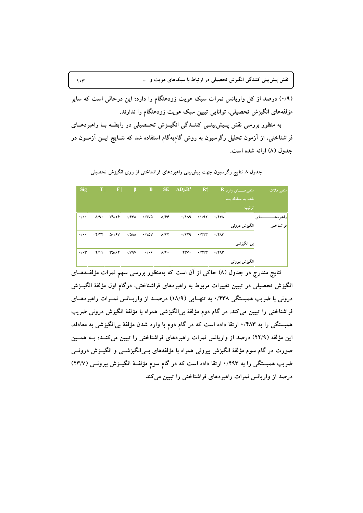(۰/۹) درصد از کل واریانس نمرات سبک هویت زودهنگام را دارد؛ این درحالی است که سایر مؤلفههای انگیزش تحصیلی، توانایی تبیین سبک هویت زودهنگام را ندارند.

به منظور بررسی نقش پـیش:پینــی کننــدگی انگیــزش تحــصیلی در رابطــه بــا راهبردهــای فراشناختی، از آزمون تحلیل رگرسیون به روش گام؛بهگام استفاده شد که نتــایج ایــن آزمــون در جدول (۸) ارائه شده است.

| <b>Sig</b>                | $\mathbf{T}$    | $\mathbf F$                   | $\beta$                     | $\mathbf{B}$    | SE.                        | $ADj.R^2$    | $\mathbb{R}^2$ |              |                  | متغیر ملاک                   |
|---------------------------|-----------------|-------------------------------|-----------------------------|-----------------|----------------------------|--------------|----------------|--------------|------------------|------------------------------|
|                           |                 |                               |                             |                 |                            |              |                |              | شده به معادله به |                              |
|                           |                 |                               |                             |                 |                            |              |                |              | ترتيب            |                              |
| $\cdot/\cdot$             | $\Lambda$ /٩.   | Y9/Y9                         | $\cdot$ /۴۳۸                | $\cdot$ /۲۷۵    | $\lambda$ /۶۶              | $\cdot$ /119 | .7197          | $\cdot$ /۴۳۸ |                  | <mark>راهبردهــ</mark><br>ای |
|                           |                 |                               |                             |                 |                            |              |                |              | انگیزش درونبی    | <mark>افراشناختبی</mark>     |
| $\cdot$ / $\cdot$ $\cdot$ | $-\frac{9}{11}$ | $\Delta \cdot$ / $\epsilon$ V | $\cdot$ /0 $\lambda\lambda$ | $\cdot$ /10V    | $\Lambda/\Upsilon\Upsilon$ | 4/779        | $\cdot$ /777   | $\cdot$ /۴۸۳ |                  |                              |
|                           |                 |                               |                             |                 |                            |              |                |              | بی انگیزشی       |                              |
| $\cdot/\cdot$ ۳           | Y/11            | 30/67                         | $\cdot$ / $\vee$ 9 $\vee$   | $\cdot/\cdot$ ۶ | $\Lambda/\Upsilon$         | rrv.         | .7777          | ۶/۴۹۳        |                  |                              |
|                           |                 |                               |                             |                 |                            |              |                |              | انگیزش بیرونی    |                              |

جدول ۸ نتایج رگرسیون جهت پیش بینی راهبردهای فراشناختی از روی انگیزش تحصیلی

نتایج مندرج در جدول (۸) حاکی از آن است که بهمنظور بررسی سهم نمرات مؤلفـههــای انگیزش تحصیلی در تبیین تغییرات مربوط به راهبردهای فراشناختی، درگام اول مؤلفهٔ انگیــزش درونی با ضریب همبستگی ۰/۴۳۸ به تنهـایی (۱۸/۹) درصـد از واریــانس نمــرات راهبردهــای فراشناختی را تبیین می کند. در گام دوم مؤلفهٔ بی!نگیزشی همراه با مؤلفهٔ انگیزش درونی ضریب همبستگی را به ۰/۴۸۳ ارتقا داده است که در گام دوم با وارد شدن مؤلفهٔ بی!نگیزشی به معادله، این مؤلفه (٢٢/٩) درصد از واریانس نمرات راهبردهای فراشناختی را تبیین میکنـد؛ بـه همـین صورت در گام سوم مؤلفهٔ انگیزش بیرونی همراه با مؤلفههای بــی|نگیزشـــی و انگیــزش درونـــی ضریب همبستگی را به ۰/۴۹۳ ارتقا داده است که در گام سوم مؤلفهٔ انگیــزش بیرونــی (۲۳/۷) درصد از واریانس نمرات راهبردهای فراشناختی را تبیین میکند.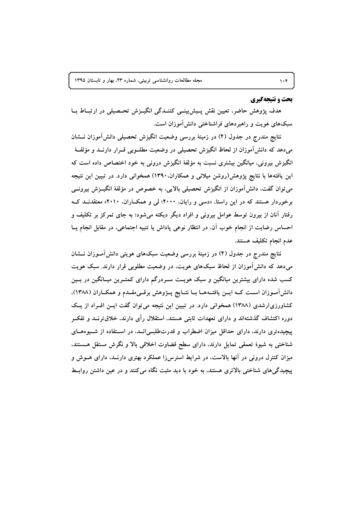#### بحث و نتیجهگیری

هدف پژوهش حاضر، تعیین نقش پـیش بینـی کننـدگی انگیـزش تحـصیلی در ارتبـاط بـا سبکهای هویت و راهبردهای فراشناختی دانش آموزان است.

نتايع مندرج در جدول (۴) در زمينهٔ بررسي وضعيت انگيزش تحصيلي دانش آموزان نــشان میدهد که دانش آموزان از لحاظ انگیزش تحصیلی در وضعیت مطلــوبی قــرار دارنــد و مؤلفــهٔ انگیزش بیرونی، میانگین بیشتری نسبت به مؤلفهٔ انگیزش درونی به خود اختصاص داده است که این یافتهها با نتایج پژوهش(روشن میلانی و همکاران. ۱۳۹۰) همخوانی دارد. در تبیین این نتیجه می توان گفت، دانش آموزان از انگیزش تحصیلی بالایی، به خصوص در مؤلفهٔ انگیــزش بیرونــی برخوردار هستند که در این راستا، «دسی و رایان، ۲۰۰۰؛ لی و همکاران، ۲۰۱۰» معتقدنـد کـه رفتار آنان از بیرون توسط عوامل بیرونی و افراد دیگر دیکته میشود؛ به جای تمرکز بر تکلیف و احساس رضایت از انجام خوب آن، در انتظار نوعی یاداش یا تنبیه اجتماعی، در مقابل انجام یــا عدم انجام تكليف هستند.

نتایج مندرج در جدول (۴) در زمینهٔ بررسی وضعیت سبکهای هویتی دانش آمــوزان نـــشان میدهد که دانش آموزان از لحاظ سبکهای هویت، در وضعیت مطلوبی قرار دارند. سبک هویت کسب شده دارای بیشترین میانگین و سبک هویـت سـردرگم دارای کمتـرین میــانگین در بــین دانش آمـوزان اسـت كــه ايــن يافتــههــا بــا نتــايج يـــژوهش برقــىمقــدم و همكــاران (١٣٨٨)، کشاورزیارشدی (۱۳۸۸) همخوانی دارد. در تبیین این نتیجه می توان گفت ایس افسراد از یک دوره اکتشاف گذشتهاند و دارای تعهدات ثابتی هستند، استقلال رأی دارند، خلاق ترنــد و تفکــر پیچیدهتری دارند، دارای حداقل میزان اضطراب و قدرتطلبےانــد، در اسـتفاده از شــیوههــای شناختی به شیوهٔ تعمقی تمایل دارند، دارای سطح قضاوت اخلاقی بالا و نگرش مستقل هــستند، میزان کنترل درونی در آنها بالاست، در شرایط استرسزا عملکرد بهتری دارنــد، دارای هــوش و پیچیدگی های شناختی بالاتری هستند، به خود با دید مثبت نگاه می کنند و در عین داشتن روابـط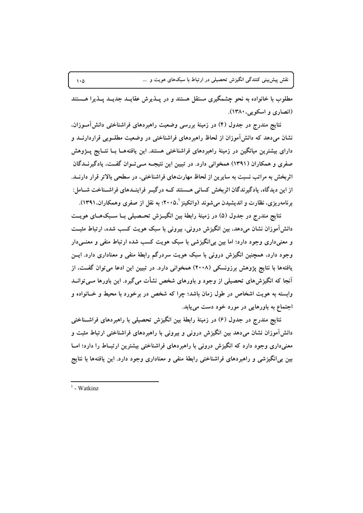مطلوب با خانواده به نحو چشمگیری مستقل هستند و در پــذیرش عقایــد جدیــد پــذیرا هــستند (انصاری و اسکویی، ۱۳۸۰).

نتایج مندرج در جدول (۴) در زمینهٔ بررسی وضعیت راهبردهای فراشناختی دانش[مــوزان. نشان میدهد که دانش آموزان از لحاظ راهبردهای فراشناختی در وضعیت مطلــویی قراردارنــد و دارای بیشترین میانگین در زمینهٔ راهبردهای فراشناختی هستند. این یافتههــا بــا نتــایج پـــژوهش صفری و همکاران (۱۳۹۱) همخوانی دارد. در تبیین این نتیجــه مــی تــوان گفــت، یادگیرنــدگان اثربخش به مراتب نسبت به سایرین از لحاظ مهارتهای فراشناختی، در سطحی بالاتر قرار دارنــد. از این دیدگاه، پادگیرندگان اثریخش کسانی هستند کبه در گیبر فراینیدهای فراشیناخت شیامل: برنامهریزی، نظارت و اندیشیدن میشوند (واتکینز '،۲۰۰۵؛ به نقل از صفری وهمکاران،۱۳۹۱).

نتایج مندرج در جدول (۵) در زمینهٔ رابطهٔ بین انگیــزش تحــصیلی بــا ســبکهــای هویــت دانشآموزان نشان میدهد، بین انگیزش درونی، بیرونی با سبک هویت کسب شده، ارتباط مثبت و معنیداری وجود دارد؛ اما بین بی انگیزشی با سبک هویت کسب شده ارتباط منفی و معنــیدار وجود دارد، همچنین انگیزش درونی با سبک هویت سردرگم رابطهٔ منفی و معناداری دارد. ایــن یافتهها با نتایج پژوهش برزونسکی (۲۰۰۸) همخوانی دارد. در تبیین این ادعا می توان گفت، از آنجا که انگیزشهای تحصیلی از وجود و باورهای شخص نشأت میگیرد. این باورها مــیتوانــد وابسته به هویت اشخاص در طول زمان باشد؛ چرا که شخص در برخورد با محیط و خـانواده و اجتماع به باورهایی در مورد خود دست می یابد.

نتایج مندرج در جدول (۶) در زمینهٔ رابطهٔ بین انگیزش تحصیلی با راهبردهای فراشـناختی دانش آموزان نشان می دهد بین انگیزش درونی و بیرونی با راهبردهای فراشناختی ارتباط مثبت و معنی داری وجود دارد که انگیزش درونی با راهبردهای فراشناختی بیشترین ارتبـاط را دارد؛ امــا بین بی انگیزشی و راهبردهای فراشناختی رابطهٔ منفی و معناداری وجود دارد. این یافتهها با نتایج

 $1$  - Watkinz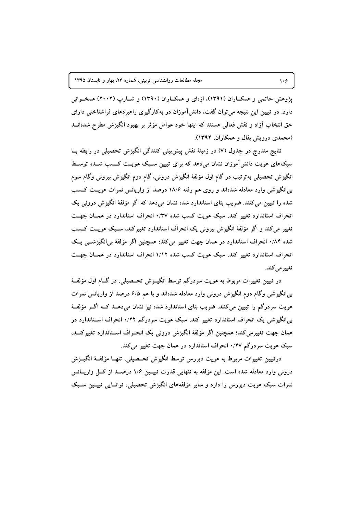یژوهش حاتمی و همکباران (۱۳۹۱)، اژهای و همکباران (۱۳۹۰) و شبارپ (۲۰۰۲) همخبوانی دارد. در تبیین این نتیجه می توان گفت، دانش آموزان در بهکارگیری راهبردهای فراشناختی دارای حق انتخاب آزاد و نقش فعالی هستند که اینها خود عوامل مؤثر بر بهبود انگیزش مطرح شدهانــد (محمدی درویش بقال و همکاران، ۱۳۹۲).

نتايج مندرج در جدول (۷) در زمينهٔ نقش پيش بيني كنندگي انگيزش تحصيلي در رابطه بــا سبکهای هویت دانش آموزان نشان می دهد که برای تبیین سـبک هویــت کــسب شــده توسـط انگیزش تحصیلی بهترتیب در گام اول مؤلفهٔ انگیزش درونی، گام دوم انگیزش بیرونی وگام سوم بی انگیزشی وارد معادله شدهاند و روی هم رفته ۱۸/۶ درصد از واریانس نمرات هویـت کــسب شده را تبیین میکنند. ضریب بتای استاندارد شده نشان میدهد که اگر مؤلفهٔ انگیزش درونی یک انحراف استاندارد تغییر کند، سبک هویت کسب شده ۰/۳۷ انحراف استاندارد در همـان جهـت تغییر می کند و اگر مؤلفهٔ انگیزش بیرونی یک انحراف استاندارد تغییرکند، سـبک هویــت کــسب شده ۰/۸۴ انحراف استاندارد در همان جهت تغییر می کند؛ همچنین اگر مؤلفهٔ بی انگیزشمی پک انحراف استاندارد تغییر کند، سبک هویت کسب شده ۱/۱۲ انحراف استاندارد در همسان جهت تغيير مي كند.

در تبیین تغییرات مربوط به هویت سردرگم توسط انگیــزش تحــصیلی، در گــام اول مؤلفــهٔ بی|نگیزشی وگام دوم انگیزش درونی وارد معادله شدهاند و با هم ۶/۵ درصد از واریانس نمرات هویت سردرگم را تبیین میکنند. ضریب بتای استاندارد شده نیز نشان میدهــد کــه اگــر مؤلفــهٔ بی انگیزشی یک انحراف استاندارد تغییر کند، سبک هویت سردرگم ۰/۲۲ انحراف اسـتاندارد در همان جهت تغییرمی کند؛ همچنین اگر مؤلفهٔ انگیزش درونی یک انحـراف اســتاندارد تغییرکنــد، سبک هویت سردرگم ۰/۲۷ انحراف استاندارد در همان جهت تغییر می کند.

درتبيين تغييرات مربوط به هويت ديررس توسط انگيزش تحـصيلي، تنهــا مؤلفــهٔ انگيــزش درونی وارد معادله شده است. این مؤلفه به تنهایی قدرت تبیـین ۱/۶ درصـد از کـل واریـانس نمرات سبک هویت دیررس را دارد و سایر مؤلفههای انگیزش تحصیلی، توانــایی تبیــین ســبک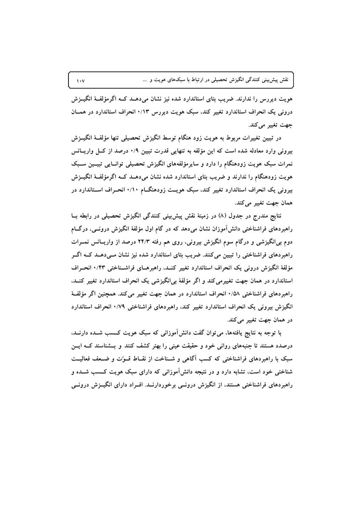هویت دیررس را ندارند. ضریب بتای استاندارد شده نیز نشان می دهــد کــه اگرمؤلفــهٔ انگیــزش درونی یک انحراف استاندارد تغییر کند، سبک هویت دیررس ۰/۱۳ انحراف استاندارد در همــان جهت تغییر میکند.

در تبیین تغییرات مربوط به هویت زود هنگام توسط انگیزش تحصیلی تنها مؤلفـهٔ انگیــزش بیرونی وارد معادله شده است که این مؤلفه به تنهایی قدرت تبیین ۰/۹ درصد از کــل واریــانس نمرات سبک هویت زودهنگام را دارد و سایرمؤلفههای انگیزش تحصیلی توانسایی تبیسین سـبک هویت زودهنگام را ندارند و ضریب بتای استاندارد شده نشان میدهــد کــه اگرمؤلفــهٔ انگیــزش بیرونی یک انحراف استاندارد تغییر کند، سبک هویــت زودهنگــام ۱۰/۰ انحــراف اســتاندارد در همان جهت تغيير مي كند.

نتایج مندرج در جدول (۸) در زمینهٔ نقش پیش:ینی کنندگی انگیزش تحصیلی در رابطه بــا راهبردهای فراشناختی دانش آموزان نشان میدهد که در گام اول مؤلفهٔ انگیزش درونــی، درگــام دوم بی[نگیزشی و درگام سوم انگیزش بیرونی، روی هم رفته ۲۴/۳ درصد از واریــانس نمــرات راهبردهای فراشناختی را تبیین میکنند. ضریب بتای استاندارد شده نیز نشان مــیدهــد کــه اگــر مؤلفهٔ انگیزش درونی یک انحراف استاندارد تغییر کنــد، راهبرهــای فراشــناختی ۰/۴۳ انحــراف استاندارد در همان جهت تغییرمی کند و اگر مؤلفهٔ بی انگیزشی یک انحراف استاندارد تغییر کنــد. راهبردهای فراشناختی ۰/۵۸ انحراف استاندارد در همان جهت تغییر می کند. همچنین اگر مؤلفهٔ انگیزش بیرونی یک انحراف استاندارد تغییر کند، راهبردهای فراشناختی ۰/۷۹ انحراف استاندارد در همان جهت تغيير مي كند.

با توجه به نتایج یافتهها، می توان گفت دانش آموزانی که سبک هویت کــسب شــده دارنــد، درصدد هستند تا جنبههای روانی خود و حقیقت عینی را بهتر کشف کنند و بــشناسند کــه ایــن سبک با راهبردهای فراشناختی که کسب آگاهی و شـناخت از نقــاط قــوّت و ضــعف فعالیــت شناختی خود است، تشابه دارد و در نتیجه دانش آموزانی که دارای سبک هویت کــسب شــده و راهبردهای فراشناختی هستند، از انگیزش درونسی برخوردارنــد. افــراد دارای انگیــزش درونــی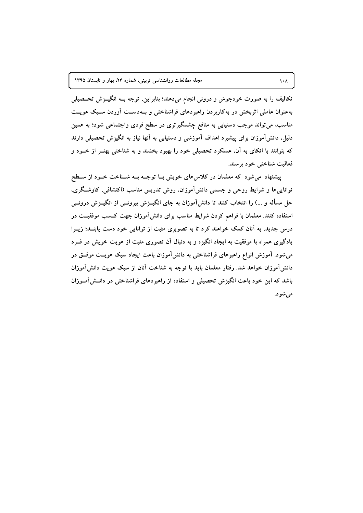تکالیف را به صورت خودجوش و درونی انجام میدهند؛ بنابراین، توجه بــه انگیــزش تحــصیلی بهعنوان عاملی اثربخش در بهکاربردن راهبردهای فراشناختی و بـهدسـت آوردن سـبک هویـت مناسب، می تواند موجب دستیابی به منافع چشمگیرتری در سطح فردی واجتماعی شود؛ به همین دلیل، دانشآموزان برای پیشبرد اهداف آموزشی و دستیابی به آنها نیاز به انگیزش تحصیلی دارند که بتوانند با اتکای به آن، عملکرد تحصیلی خود را بهبود بخشند و به شناختی بهتـر از خــود و فعالیت شناختی خود برسند.

پیشنهاد می شود که معلمان در کلاس های خویش بـا توجـه بــه شــناخت خــود از ســطح توانایی ها و شرایط روحی و جسمی دانش آموزان، روش تدریس مناسب (اکتشافی، کاوشگری، حل مسأله و …) را انتخاب کنند تا دانشآموزان به جای انگیــزش بیرونــی از انگیــزش درونــی استفاده کنند. معلمان با فراهم کردن شرایط مناسب برای دانش آموزان جهت کــسب موفقیــت در درس جدید، به آنان کمک خواهند کرد تا به تصویری مثبت از توانایی خود دست یابنــد؛ زیــرا یادگیری همراه با موفقیت به ایجاد انگیزه و به دنبال آن تصوری مثبت از هویت خویش در فــرد میشود. آموزش انواع راهبرهای فراشناختی به دانشآموزان باعث ایجاد سبک هویــت موفــق در دانش[موزان خواهد شد. رفتار معلمان باید با توجه به شناخت آنان از سبک هویت دانش[موزان باشد که این خود باعث انگیزش تحصیلی و استفاده از راهبردهای فراشناختی در دانــش[مــوزان مي شو د.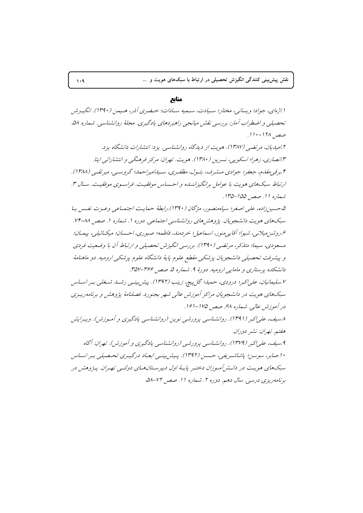منابع

ا اژهاي، جواد؛ ويساني، مختار؛ سيادت، سيميه سيادات؛ خيضري آذر، هيمن (١٣٩٠). انگية ش تحصیلی و اضطراب آمار: بررسی نقش میانجی راهبردهای یادگیری. مجلهٔ روانشناسی. شماره ۵۸. صص ١٢٨ - ١١٠. ۲ امیدیان، مرتضبه (۱۳۸۷). هویت از دیدگاه روانشناسبه به یزد: انتشارات دانشگاه یزد. ۱۳.انصاری، زهرا؛ اسکوپی، نسرین (۱۳۸۰). هویت. تهران: مرکز فرهنگی و انتشاراتی ایتا. ۴ بېرقبې مقدم، جعفير؛ جوادي مــشيرف، بتــول، مظفـيري، ســيداميراحـمد؛ گروســي، ميرتقــي (١٣٨٨). ارتباط سبکهای هویت با عوامل برانگیزاننساه و احساس موفقیت. فراسوی موفقیت. سال ۳. شماره 11. صص 100-110. 0.حسين زاده، على اصغر؛ سياه منصور، مرْكان (١٣٩٠).رابطهٔ حمايت اجتماعي وعـزت نفـس بـا سبکهای هویت دانشجویان. پژوهش های روانشناسی اجتماعی. دوره ۱. شماره ۱. صص ۸۸-۷۴. عروشين ميلاني، شيوا؛ آقايه منو ر، اسماعيل؛ خر دمند، فاطمه؛ صبو ري، احسان؛ ميكـائيله، پيمـان؛ مسعودی، سیما؛ متلکر، مرتضبی (۱۳۹۰). بررسبی انگیزش تحصیلی و ارتباط آن با وضعیت فردی و پیشرفت تحصیلی دانشجویان پزشکی مقطع علوم پایهٔ دانشگاه علوم پزشکی ارومیه. دو ماهنامهٔ دانشکده پرستاری و مامایی ارومیه. دورهٔ ۹. شماره ۵. صص ۳۶۶-۳۵۷. ۷.سلیمانیان، علی اکبر؛ درودی، حمید؛ گل پیچ، زینب (۱۳۹۲). پیش بینسی رشت شخلی به اسیاس سبکهای هویت در دانشجویان مراکز آموزش عالی شهر بجنورد. فصلنامهٔ پژوهش و برنامهریـزی در آموزش عالی. شماره ۶۸. صصر ۱۷۵-۱۶۱. ۸سیف، علی اکبر (۱۳۹۱). روانشناسی پرورشی نوین (روانشناسی یادگیری و آموزش). ویه رایش هغتيه. تهران: نشير دو دان. ۹ .سيف، علي/كبر (١٣٧٩). روانشناسي پرورشي (روانشناسي پادگيري و آموزش ). تهران: آگاه ۱۰.صابر، سوسن؛ پاشاشىرىفى، حسىن (۱۳۹۲). پىش بىنىي ابعـاد درگىيەي تحـصيلى بىر اسـاس سبکهای مویت در دانشرآموزان دختـر پایـهٔ اول دبیرسـتانهـای دولتـی تهـران. پـژوهش در برنامهریزی درسی. سال دهم. دوره ۲. شماره ۱۱. صص ۷۲-۵۸.

 $\mathbf{1} \cdot \mathbf{9}$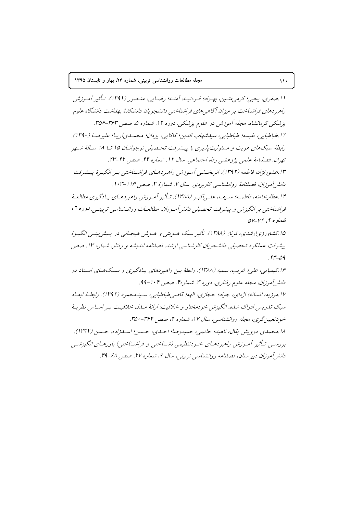ا ا صفري، يحيي؛ كرمه متسين، بهيزاد؛ قيره تبيه، أمنيه؛ رضيايه، منبصور (١٣٩١). تيأثير أميوزش راهبر دهای فراشناخت بر میزان آگاهی های فراشناختی دانشجویان دانشکدهٔ بهداشت دانشگاه علوم پزشکی کرمانشاه. مجله آموزش در علوم پزشکی. دوره ۱۲. شماره ۵. صص ۳۶۳-۳۵۶. ۱۲.طباطبايي، نفيسه؛ طباطبايي، سيا.شهاب الدين؛ كاكايي، يز دان؛ محملهي آر بيا؛ عليرضيا (١٣٩٠). رابطهٔ سبکهای هویت و مسئولیت پذیری با پیشرفت تحصیلی نوجوانـان ۱۵ تــا ۱۸ سـالهٔ شــهر تهران. فصلنامهٔ علمی پژوهشی رفاه اجتماعی. سال ۱۲. شماره ۴۴. صص ۴۲-۲۳. ۱۳.عشورنژاد، فاطعه (۱۳۹۲). اثر بخشهر أميوزش راهبردهياي فراشه ناختبي بير انگييزهٔ پيشيرفت دانشر أمو زان، فصلنامهٔ روانشناسی کاربر دی. سال ۷. شهارهٔ ۳. صصر ۱۱۶–۱۰۳. ۱۴.عطار خامنه، فاطمه؛ سه بف، عليه إكبير (۱۳۸۸). تيأثير أميوزش راهيد دهياي پيادگيري مطالعيهٔ فراشناختبی بر انگیزش و پیشرفت تحصیلی دانش آموزان. مطالعیات روانهشناسی تربیتی. دوره ۲،  $QV - VF$ ، شمار ه  $P$ ۱۵.کشاورزی ارشدی، فرناز (۱۳۸۸). تأثیر سبک هـویتی و هـوش هیجـانی در پـیش بینـی انگیـزهٔ پیشرفت عملکرد تحصیلی دانشجویان کارشناسی ارشد. فصلنامه اندیشه و رفتار. شماره ۱۳. صص  $rr-\Omega$ ۱۶.کیمیایی، علی؛ غرب، سمیه (۱۳۸۸). رابطهٔ مین راهبردهای پیادگیری و سبکهبای استاد در دانشرآموزان، مجله علوم رفتاري. دوره ۳. شماره۴. صص ۱۰۴-۹۹. ١٧.مرزيه، افسانه؛ اژهاي، جواد؛ حجازي، الهه؛ قاضي طباطبايي، سـيدمعمود (١٣٩٢). رابطـهُ ابعـاد سبک تدریس ادراک شده، انگیزش خودمختار و خلاقیت: ارائهٔ میدل خلاقیت بیر اسیاس نظریهٔ خودتعيين گري، مجله روانشناسي، سال ١٧، شماره ۴، صص ٣٦٢-٣٥٠. ۱۸.محمایی درویش بقال، ناهیا؛ حاتمه ، حمهاررضا؛ احسای، حسین؛ اسپازاده، حسین (۱۳۹۲). بررسبي تـأثير أمـوزش راهبردهـاي خـودتنظيمي (شـناختي و فراشـناختي) باورهـاي انگيزشـي دانشر آموزان دبیرستان، فصلنامه روانشناسی تربیتی، سال ۹، شماره ۲۷، صص ۶۸-۴۹.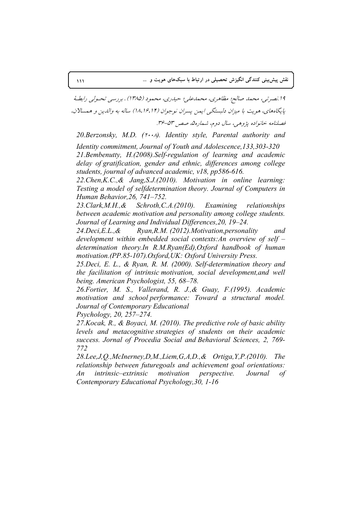14. نصرتي، محمد صالح؛ مظاهري، محمدعلي؛ حيدري، محمود (١٣٨۵) . بررسي تحـولي رابطـهُ پایگاههای، هویت با میزان دلبستگی ایمن پسران نوجوان (۱۴،۱۶،۱۴) ساله به والدین و همسالان، فصلنامه خانواده يژوهي، سال دوم، شماره ه، صصر ٥٣-٣۶.

*20.Berzonsky, M.D. (*2008*). Identity style, Parental authority and* 

*Identity commitment, Journal of Youth and Adolescence,133,303-320 21.Bembenutty, H.(2008).Self-regulation of learning and academic delay of gratification, gender and ethnic, differences among college students, journal of advanced academic, v18, pp586-616.* 

*22.Chen,K.C.,& Jang,S.J.(2010). Motivation in online learning: Testing a model of selfdetermination theory. Journal of Computers in Human Behavior,26, 741–752.*

*23.Clark,M.H.,& Schroth,C.A.(2010). Examining relationships between academic motivation and personality among college students. Journal of Learning and Individual Differences,20, 19–24.* 

*24.Deci,E.L.,& Ryan,R.M. (2012).Motivation,personality and development within embedded social contexts:An overview of self – determination theory.In R.M.Ryan(Ed),Oxford handbook of human motivation.(PP.85-107).Oxford,UK: Oxford University Press.* 

*25.Deci, E. L., & Ryan, R. M. (2000). Self-determination theory and the facilitation of intrinsic motivation, social development,and well being. American Psychologist, 55, 68–78.*

*26.Fortier, M. S., Vallerand, R. J.,& Guay, F.(1995). Academic motivation and school performance: Toward a structural model. Journal of Contemporary Educational* 

*Psychology, 20, 257–274.*

*27.Kocak, R., & Boyaci, M. (2010). The predictive role of basic ability levels and metacognitive strategies of students on their academic success. Jornal of Procedia Social and Behavioral Sciences, 2, 769- 772* 

*28.Lee,J,Q.,McInerney,D,M.,Liem,G,A,D.,& Ortiga,Y,P.(2010). The relationship between futuregoals and achievement goal orientations: An intrinsic–extrinsic motivation perspective. Journal of Contemporary Educational Psychology,30, 1-16*